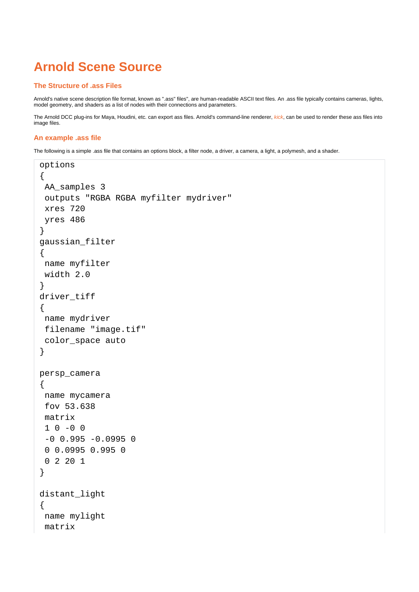# **Arnold Scene Source**

## **The Structure of .ass Files**

Arnold's native scene description file format, known as ".ass" files", are human-readable ASCII text files. An .ass file typically contains cameras, lights, model geometry, and shaders as a list of nodes with their connections and parameters.

The Arnold DCC plug-ins for Maya, Houdini, etc. can export ass files. Arnold's command-line renderer, [kick](https://docs.arnoldrenderer.com/pages/viewpage.action?pageId=36110428), can be used to render these ass files into image files.

## **An example .ass file**

The following is a simple .ass file that contains an options block, a filter node, a driver, a camera, a light, a polymesh, and a shader.

```
options
{
 AA_samples 3
  outputs "RGBA RGBA myfilter mydriver" 
  xres 720
 yres 486
}
gaussian_filter
{
 name myfilter
 width 2.0
}
driver tiff
\{ name mydriver
  filename "image.tif"
  color_space auto
}
persp_camera
{
 name mycamera
  fov 53.638 
  matrix
 1 \t 0 \t -0 \t 0-0 0.995 -0.0995 0
  0 0.0995 0.995 0
  0 2 20 1 
}
distant_light
{
  name mylight
  matrix
```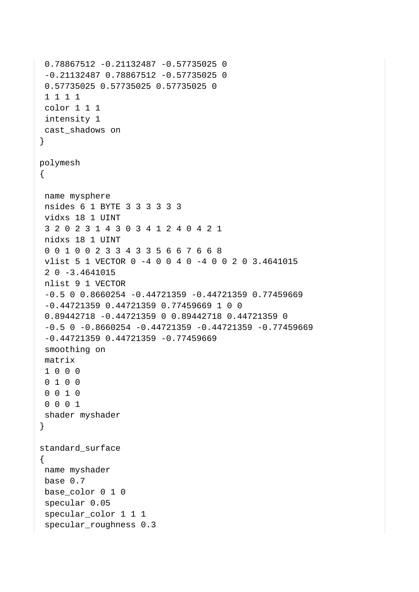```
 0.78867512 -0.21132487 -0.57735025 0
  -0.21132487 0.78867512 -0.57735025 0
  0.57735025 0.57735025 0.57735025 0
  1 1 1 1 
  color 1 1 1
  intensity 1
 cast_shadows on
}
polymesh
{
 name mysphere
  nsides 6 1 BYTE 3 3 3 3 3 3 
  vidxs 18 1 UINT 
  3 2 0 2 3 1 4 3 0 3 4 1 2 4 0 4 2 1 
  nidxs 18 1 UINT 
  0 0 1 0 0 2 3 3 4 3 3 5 6 6 7 6 6 8 
  vlist 5 1 VECTOR 0 -4 0 0 4 0 -4 0 0 2 0 3.4641015 
  2 0 -3.4641015
  nlist 9 1 VECTOR 
  -0.5 0 0.8660254 -0.44721359 -0.44721359 0.77459669 
  -0.44721359 0.44721359 0.77459669 1 0 0 
  0.89442718 -0.44721359 0 0.89442718 0.44721359 0
 -0.5 0 -0.8660254 -0.44721359 -0.44721359 -0.77459669 -0.44721359 0.44721359 -0.77459669 
  smoothing on
  matrix
  1 0 0 0
  0 1 0 0
  0 0 1 0
  0 0 0 1 
 shader myshader
}
standard_surface
{
 name myshader
 base 0.7
base color 0 1 0
  specular 0.05
  specular_color 1 1 1
  specular_roughness 0.3
```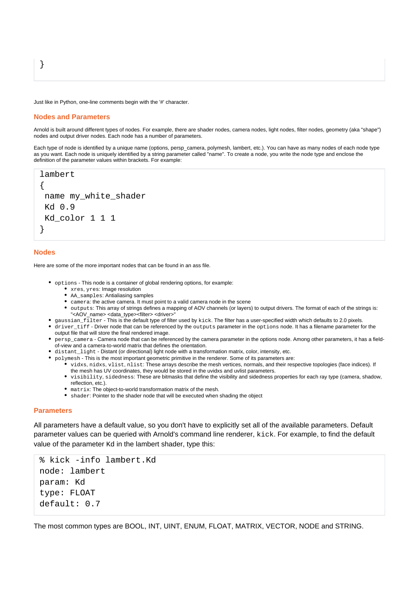Just like in Python, one-line comments begin with the '#' character.

#### **Nodes and Parameters**

Arnold is built around different types of nodes. For example, there are shader nodes, camera nodes, light nodes, filter nodes, geometry (aka "shape") nodes and output driver nodes. Each node has a number of parameters.

Each type of node is identified by a unique name (options, persp\_camera, polymesh, lambert, etc.). You can have as many nodes of each node type as you want. Each node is uniquely identified by a string parameter called "name". To create a node, you write the node type and enclose the definition of the parameter values within brackets. For example:

```
lambert
{
name my white shader
 Kd 0.9
 Kd_color 1 1 1
}
```
## **Nodes**

}

Here are some of the more important nodes that can be found in an ass file.

- options This node is a container of global rendering options, for example:
	- xres, yres: Image resolution
	- AA\_samples: Antialiasing samples
	- camera: the active camera. It must point to a valid camera node in the scene
	- outputs: This array of strings defines a mapping of AOV channels (or layers) to output drivers. The format of each of the strings is: "<AOV\_name> <data\_type><filter> <driver>
- gaussian\_filter This is the default type of filter used by kick. The filter has a user-specified width which defaults to 2.0 pixels.
- driver\_tiff Driver node that can be referenced by the outputs parameter in the options node. It has a filename parameter for the output file that will store the final rendered image.
- persp\_camera Camera node that can be referenced by the camera parameter in the options node. Among other parameters, it has a fieldof-view and a camera-to-world matrix that defines the orientation.
- distant\_light Distant (or directional) light node with a transformation matrix, color, intensity, etc.
- polymesh This is the most important geometric primitive in the renderer. Some of its parameters are:
	- vidxs, nidxs, vlist, nlist: These arrays describe the mesh vertices, normals, and their respective topologies (face indices). If the mesh has UV coordinates, they would be stored in the uvidxs and uvlist parameters.
	- visibility, sidedness: These are bitmasks that define the visibility and sidedness properties for each ray type (camera, shadow, reflection, etc.).
	- matrix: The object-to-world transformation matrix of the mesh.
	- shader: Pointer to the shader node that will be executed when shading the object

## **Parameters**

All parameters have a default value, so you don't have to explicitly set all of the available parameters. Default parameter values can be queried with Arnold's command line renderer, kick. For example, to find the default value of the parameter Kd in the lambert shader, type this:

```
% kick -info lambert.Kd
node: lambert
param: Kd
type: FLOAT
default: 0.7
```
The most common types are BOOL, INT, UINT, ENUM, FLOAT, MATRIX, VECTOR, NODE and STRING.